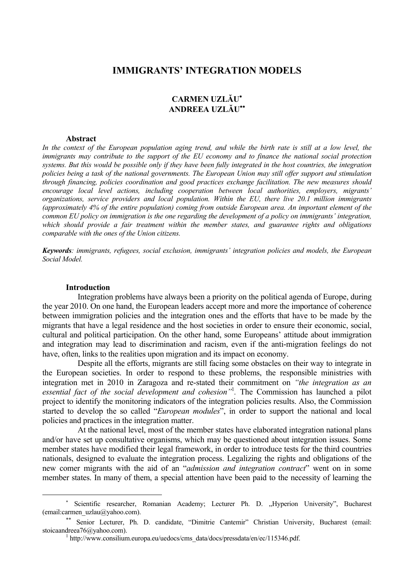## **IMMIGRANTS' INTEGRATION MODELS**

# **CARMEN UZLĂU**<sup>∗</sup> **ANDREEA UZLĂU**∗∗

#### **Abstract**

In the context of the European population aging trend, and while the birth rate is still at a low level, the *immigrants may contribute to the support of the EU economy and to finance the national social protection systems. But this would be possible only if they have been fully integrated in the host countries, the integration policies being a task of the national governments. The European Union may still offer support and stimulation through financing, policies coordination and good practices exchange facilitation. The new measures should encourage local level actions, including cooperation between local authorities, employers, migrants' organizations, service providers and local population. Within the EU, there live 20.1 million immigrants (approximately 4% of the entire population) coming from outside European area. An important element of the common EU policy on immigration is the one regarding the development of a policy on immigrants' integration, which should provide a fair treatment within the member states, and guarantee rights and obligations comparable with the ones of the Union citizens.* 

*Keywords: immigrants, refugees, social exclusion, immigrants' integration policies and models, the European Social Model.* 

#### **Introduction**

 $\overline{a}$ 

 Integration problems have always been a priority on the political agenda of Europe, during the year 2010. On one hand, the European leaders accept more and more the importance of coherence between immigration policies and the integration ones and the efforts that have to be made by the migrants that have a legal residence and the host societies in order to ensure their economic, social, cultural and political participation. On the other hand, some Europeans' attitude about immigration and integration may lead to discrimination and racism, even if the anti-migration feelings do not have, often, links to the realities upon migration and its impact on economy.

 Despite all the efforts, migrants are still facing some obstacles on their way to integrate in the European societies. In order to respond to these problems, the responsible ministries with integration met in 2010 in Zaragoza and re-stated their commitment on *"the integration as an essential fact of the social development and cohesion"*<sup>1</sup> *.* The Commission has launched a pilot project to identify the monitoring indicators of the integration policies results. Also, the Commission started to develop the so called "*European modules*", in order to support the national and local policies and practices in the integration matter.

 At the national level, most of the member states have elaborated integration national plans and/or have set up consultative organisms, which may be questioned about integration issues. Some member states have modified their legal framework, in order to introduce tests for the third countries nationals, designed to evaluate the integration process. Legalizing the rights and obligations of the new comer migrants with the aid of an "*admission and integration contract*" went on in some member states. In many of them, a special attention have been paid to the necessity of learning the

<sup>∗</sup> Scientific researcher, Romanian Academy; Lecturer Ph. D. "Hyperion University", Bucharest (email:carmen\_uzlau@yahoo.com).

<sup>∗∗</sup> Senior Lecturer, Ph. D. candidate, "Dimitrie Cantemir" Christian University, Bucharest (email: stoicaandreea76@yahoo.com).

<sup>&</sup>lt;sup>1</sup> http://www.consilium.europa.eu/uedocs/cms\_data/docs/pressdata/en/ec/115346.pdf.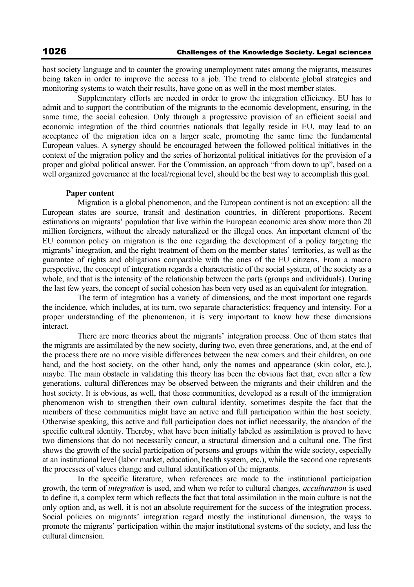host society language and to counter the growing unemployment rates among the migrants, measures being taken in order to improve the access to a job. The trend to elaborate global strategies and monitoring systems to watch their results, have gone on as well in the most member states.

 Supplementary efforts are needed in order to grow the integration efficiency. EU has to admit and to support the contribution of the migrants to the economic development, ensuring, in the same time, the social cohesion. Only through a progressive provision of an efficient social and economic integration of the third countries nationals that legally reside in EU, may lead to an acceptance of the migration idea on a larger scale, promoting the same time the fundamental European values. A synergy should be encouraged between the followed political initiatives in the context of the migration policy and the series of horizontal political initiatives for the provision of a proper and global political answer. For the Commission, an approach "from down to up", based on a well organized governance at the local/regional level, should be the best way to accomplish this goal.

### **Paper content**

 Migration is a global phenomenon, and the European continent is not an exception: all the European states are source, transit and destination countries, in different proportions. Recent estimations on migrants' population that live within the European economic area show more than 20 million foreigners, without the already naturalized or the illegal ones. An important element of the EU common policy on migration is the one regarding the development of a policy targeting the migrants' integration, and the right treatment of them on the member states' territories, as well as the guarantee of rights and obligations comparable with the ones of the EU citizens. From a macro perspective, the concept of integration regards a characteristic of the social system, of the society as a whole, and that is the intensity of the relationship between the parts (groups and individuals). During the last few years, the concept of social cohesion has been very used as an equivalent for integration.

 The term of integration has a variety of dimensions, and the most important one regards the incidence, which includes, at its turn, two separate characteristics: frequency and intensity. For a proper understanding of the phenomenon, it is very important to know how these dimensions interact.

 There are more theories about the migrants' integration process. One of them states that the migrants are assimilated by the new society, during two, even three generations, and, at the end of the process there are no more visible differences between the new comers and their children, on one hand, and the host society, on the other hand, only the names and appearance (skin color, etc.), maybe. The main obstacle in validating this theory has been the obvious fact that, even after a few generations, cultural differences may be observed between the migrants and their children and the host society. It is obvious, as well, that those communities, developed as a result of the immigration phenomenon wish to strengthen their own cultural identity, sometimes despite the fact that the members of these communities might have an active and full participation within the host society. Otherwise speaking, this active and full participation does not inflict necessarily, the abandon of the specific cultural identity. Thereby, what have been initially labeled as assimilation is proved to have two dimensions that do not necessarily concur, a structural dimension and a cultural one. The first shows the growth of the social participation of persons and groups within the wide society, especially at an institutional level (labor market, education, health system, etc.), while the second one represents the processes of values change and cultural identification of the migrants.

 In the specific literature, when references are made to the institutional participation growth, the term of *integration* is used, and when we refer to cultural changes, *acculturation* is used to define it, a complex term which reflects the fact that total assimilation in the main culture is not the only option and, as well, it is not an absolute requirement for the success of the integration process. Social policies on migrants' integration regard mostly the institutional dimension, the ways to promote the migrants' participation within the major institutional systems of the society, and less the cultural dimension.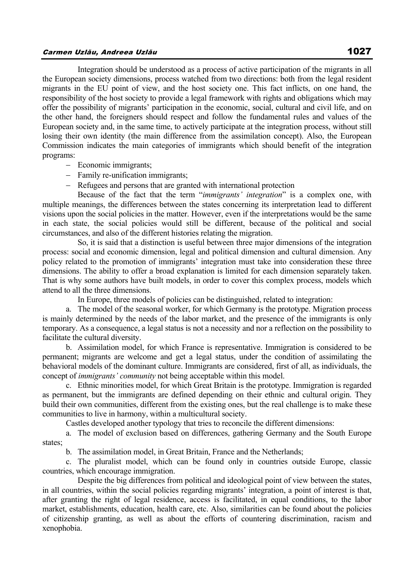## Carmen Uzlău, Andreea Uzlău 1027

 Integration should be understood as a process of active participation of the migrants in all the European society dimensions, process watched from two directions: both from the legal resident migrants in the EU point of view, and the host society one. This fact inflicts, on one hand, the responsibility of the host society to provide a legal framework with rights and obligations which may offer the possibility of migrants' participation in the economic, social, cultural and civil life, and on the other hand, the foreigners should respect and follow the fundamental rules and values of the European society and, in the same time, to actively participate at the integration process, without still losing their own identity (the main difference from the assimilation concept). Also, the European Commission indicates the main categories of immigrants which should benefit of the integration programs:

- − Economic immigrants;
- − Family re-unification immigrants;
- − Refugees and persons that are granted with international protection

 Because of the fact that the term "*immigrants' integration*" is a complex one, with multiple meanings, the differences between the states concerning its interpretation lead to different visions upon the social policies in the matter. However, even if the interpretations would be the same in each state, the social policies would still be different, because of the political and social circumstances, and also of the different histories relating the migration.

 So, it is said that a distinction is useful between three major dimensions of the integration process: social and economic dimension, legal and political dimension and cultural dimension. Any policy related to the promotion of immigrants' integration must take into consideration these three dimensions. The ability to offer a broad explanation is limited for each dimension separately taken. That is why some authors have built models, in order to cover this complex process, models which attend to all the three dimensions.

In Europe, three models of policies can be distinguished, related to integration:

a. The model of the seasonal worker, for which Germany is the prototype. Migration process is mainly determined by the needs of the labor market, and the presence of the immigrants is only temporary. As a consequence, a legal status is not a necessity and nor a reflection on the possibility to facilitate the cultural diversity.

b. Assimilation model, for which France is representative. Immigration is considered to be permanent; migrants are welcome and get a legal status, under the condition of assimilating the behavioral models of the dominant culture. Immigrants are considered, first of all, as individuals, the concept of *immigrants' community* not being acceptable within this model.

c. Ethnic minorities model, for which Great Britain is the prototype. Immigration is regarded as permanent, but the immigrants are defined depending on their ethnic and cultural origin. They build their own communities, different from the existing ones, but the real challenge is to make these communities to live in harmony, within a multicultural society.

Castles developed another typology that tries to reconcile the different dimensions:

a. The model of exclusion based on differences, gathering Germany and the South Europe states;

b. The assimilation model, in Great Britain, France and the Netherlands;

c. The pluralist model, which can be found only in countries outside Europe, classic countries, which encourage immigration.

 Despite the big differences from political and ideological point of view between the states, in all countries, within the social policies regarding migrants' integration, a point of interest is that, after granting the right of legal residence, access is facilitated, in equal conditions, to the labor market, establishments, education, health care, etc. Also, similarities can be found about the policies of citizenship granting, as well as about the efforts of countering discrimination, racism and xenophobia.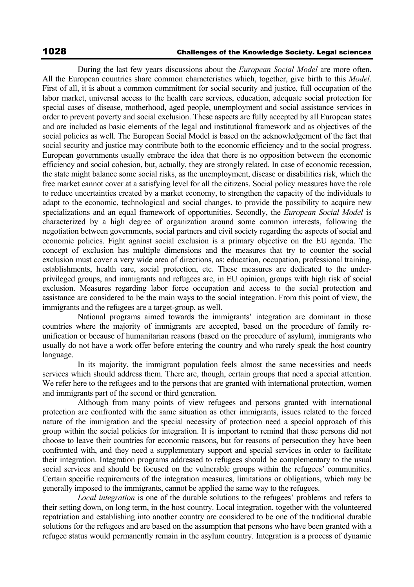During the last few years discussions about the *European Social Model* are more often. All the European countries share common characteristics which, together, give birth to this *Model*. First of all, it is about a common commitment for social security and justice, full occupation of the labor market, universal access to the health care services, education, adequate social protection for special cases of disease, motherhood, aged people, unemployment and social assistance services in order to prevent poverty and social exclusion. These aspects are fully accepted by all European states and are included as basic elements of the legal and institutional framework and as objectives of the social policies as well. The European Social Model is based on the acknowledgement of the fact that social security and justice may contribute both to the economic efficiency and to the social progress. European governments usually embrace the idea that there is no opposition between the economic efficiency and social cohesion, but, actually, they are strongly related. In case of economic recession, the state might balance some social risks, as the unemployment, disease or disabilities risk, which the free market cannot cover at a satisfying level for all the citizens. Social policy measures have the role to reduce uncertainties created by a market economy, to strengthen the capacity of the individuals to adapt to the economic, technological and social changes, to provide the possibility to acquire new specializations and an equal framework of opportunities. Secondly, the *European Social Model* is characterized by a high degree of organization around some common interests, following the negotiation between governments, social partners and civil society regarding the aspects of social and economic policies. Fight against social exclusion is a primary objective on the EU agenda. The concept of exclusion has multiple dimensions and the measures that try to counter the social exclusion must cover a very wide area of directions, as: education, occupation, professional training, establishments, health care, social protection, etc. These measures are dedicated to the underprivileged groups, and immigrants and refugees are, in EU opinion, groups with high risk of social exclusion. Measures regarding labor force occupation and access to the social protection and assistance are considered to be the main ways to the social integration. From this point of view, the immigrants and the refugees are a target-group, as well.

 National programs aimed towards the immigrants' integration are dominant in those countries where the majority of immigrants are accepted, based on the procedure of family reunification or because of humanitarian reasons (based on the procedure of asylum), immigrants who usually do not have a work offer before entering the country and who rarely speak the host country language.

 In its majority, the immigrant population feels almost the same necessities and needs services which should address them. There are, though, certain groups that need a special attention. We refer here to the refugees and to the persons that are granted with international protection, women and immigrants part of the second or third generation.

 Although from many points of view refugees and persons granted with international protection are confronted with the same situation as other immigrants, issues related to the forced nature of the immigration and the special necessity of protection need a special approach of this group within the social policies for integration. It is important to remind that these persons did not choose to leave their countries for economic reasons, but for reasons of persecution they have been confronted with, and they need a supplementary support and special services in order to facilitate their integration. Integration programs addressed to refugees should be complementary to the usual social services and should be focused on the vulnerable groups within the refugees' communities. Certain specific requirements of the integration measures, limitations or obligations, which may be generally imposed to the immigrants, cannot be applied the same way to the refugees.

 *Local integration* is one of the durable solutions to the refugees' problems and refers to their setting down, on long term, in the host country. Local integration, together with the volunteered repatriation and establishing into another country are considered to be one of the traditional durable solutions for the refugees and are based on the assumption that persons who have been granted with a refugee status would permanently remain in the asylum country. Integration is a process of dynamic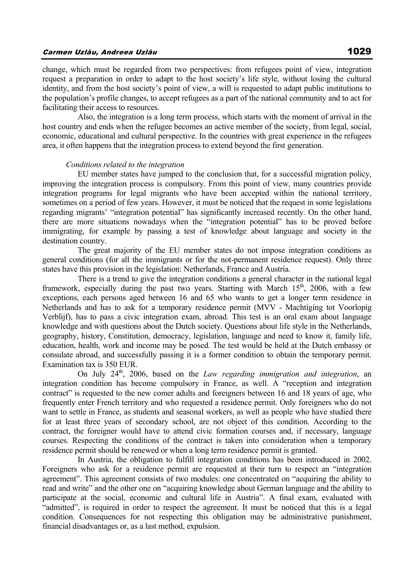change, which must be regarded from two perspectives: from refugees point of view, integration request a preparation in order to adapt to the host society's life style, without losing the cultural identity, and from the host society's point of view, a will is requested to adapt public institutions to the population's profile changes, to accept refugees as a part of the national community and to act for facilitating their access to resources.

 Also, the integration is a long term process, which starts with the moment of arrival in the host country and ends when the refugee becomes an active member of the society, from legal, social, economic, educational and cultural perspective. In the countries with great experience in the refugees area, it often happens that the integration process to extend beyond the first generation.

#### *Conditions related to the integration*

 EU member states have jumped to the conclusion that, for a successful migration policy, improving the integration process is compulsory. From this point of view, many countries provide integration programs for legal migrants who have been accepted within the national territory, sometimes on a period of few years. However, it must be noticed that the request in some legislations regarding migrants' "integration potential" has significantly increased recently. On the other hand, there are more situations nowadays when the "integration potential" has to be proved before immigrating, for example by passing a test of knowledge about language and society in the destination country.

 The great majority of the EU member states do not impose integration conditions as general conditions (for all the immigrants or for the not-permanent residence request). Only three states have this provision in the legislation: Netherlands, France and Austria.

 There is a trend to give the integration conditions a general character in the national legal framework, especially during the past two years. Starting with March  $15<sup>th</sup>$ , 2006, with a few exceptions, each persons aged between 16 and 65 who wants to get a longer term residence in Netherlands and has to ask for a temporary residence permit (MVV - Machtiging tot Voorlopig Verblijf), has to pass a civic integration exam, abroad. This test is an oral exam about language knowledge and with questions about the Dutch society. Questions about life style in the Netherlands, geography, history, Constitution, democracy, legislation, language and need to know it, family life, education, health, work and income may be posed. The test would be held at the Dutch embassy or consulate abroad, and successfully passing it is a former condition to obtain the temporary permit. Examination tax is 350 EUR.

On July 24<sup>th</sup>, 2006, based on the *Law regarding immigration and integration*, an integration condition has become compulsory in France, as well. A "reception and integration contract" is requested to the new comer adults and foreigners between 16 and 18 years of age, who frequently enter French territory and who requested a residence permit. Only foreigners who do not want to settle in France, as students and seasonal workers, as well as people who have studied there for at least three years of secondary school, are not object of this condition. According to the contract, the foreigner would have to attend civic formation courses and, if necessary, language courses. Respecting the conditions of the contract is taken into consideration when a temporary residence permit should be renewed or when a long term residence permit is granted.

 In Austria, the obligation to fulfill integration conditions has been introduced in 2002. Foreigners who ask for a residence permit are requested at their turn to respect an "integration agreement". This agreement consists of two modules: one concentrated on "acquiring the ability to read and write" and the other one on "acquiring knowledge about German language and the ability to participate at the social, economic and cultural life in Austria". A final exam, evaluated with "admitted", is required in order to respect the agreement. It must be noticed that this is a legal condition. Consequences for not respecting this obligation may be administrative punishment, financial disadvantages or, as a last method, expulsion.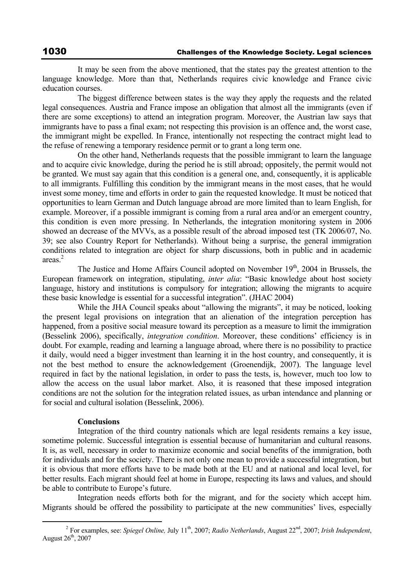It may be seen from the above mentioned, that the states pay the greatest attention to the language knowledge. More than that, Netherlands requires civic knowledge and France civic education courses.

 The biggest difference between states is the way they apply the requests and the related legal consequences. Austria and France impose an obligation that almost all the immigrants (even if there are some exceptions) to attend an integration program. Moreover, the Austrian law says that immigrants have to pass a final exam; not respecting this provision is an offence and, the worst case, the immigrant might be expelled. In France, intentionally not respecting the contract might lead to the refuse of renewing a temporary residence permit or to grant a long term one.

 On the other hand, Netherlands requests that the possible immigrant to learn the language and to acquire civic knowledge, during the period he is still abroad; oppositely, the permit would not be granted. We must say again that this condition is a general one, and, consequently, it is applicable to all immigrants. Fulfilling this condition by the immigrant means in the most cases, that he would invest some money, time and efforts in order to gain the requested knowledge. It must be noticed that opportunities to learn German and Dutch language abroad are more limited than to learn English, for example. Moreover, if a possible immigrant is coming from a rural area and/or an emergent country, this condition is even more pressing. In Netherlands, the integration monitoring system in 2006 showed an decrease of the MVVs, as a possible result of the abroad imposed test (TK 2006/07, No. 39; see also Country Report for Netherlands). Without being a surprise, the general immigration conditions related to integration are object for sharp discussions, both in public and in academic areas<sup>2</sup>

The Justice and Home Affairs Council adopted on November  $19<sup>th</sup>$ , 2004 in Brussels, the European framework on integration, stipulating, *inter alia*: "Basic knowledge about host society language, history and institutions is compulsory for integration; allowing the migrants to acquire these basic knowledge is essential for a successful integration". (JHAC 2004)

 While the JHA Council speaks about "allowing the migrants", it may be noticed, looking the present legal provisions on integration that an alienation of the integration perception has happened, from a positive social measure toward its perception as a measure to limit the immigration (Besselink 2006), specifically, *integration condition*. Moreover, these conditions' efficiency is in doubt. For example, reading and learning a language abroad, where there is no possibility to practice it daily, would need a bigger investment than learning it in the host country, and consequently, it is not the best method to ensure the acknowledgement (Groenendijk, 2007). The language level required in fact by the national legislation, in order to pass the tests, is, however, much too low to allow the access on the usual labor market. Also, it is reasoned that these imposed integration conditions are not the solution for the integration related issues, as urban intendance and planning or for social and cultural isolation (Besselink, 2006).

### **Conclusions**

 Integration of the third country nationals which are legal residents remains a key issue, sometime polemic. Successful integration is essential because of humanitarian and cultural reasons. It is, as well, necessary in order to maximize economic and social benefits of the immigration, both for individuals and for the society. There is not only one mean to provide a successful integration, but it is obvious that more efforts have to be made both at the EU and at national and local level, for better results. Each migrant should feel at home in Europe, respecting its laws and values, and should be able to contribute to Europe's future.

 Integration needs efforts both for the migrant, and for the society which accept him. Migrants should be offered the possibility to participate at the new communities' lives, especially

 $\overline{\phantom{a}}$  For examples, see: *Spiegel Online,* July 11th, 2007; *Radio Netherlands*, August 22nd, 2007; *Irish Independent*, August  $26<sup>th</sup>$ , 2007